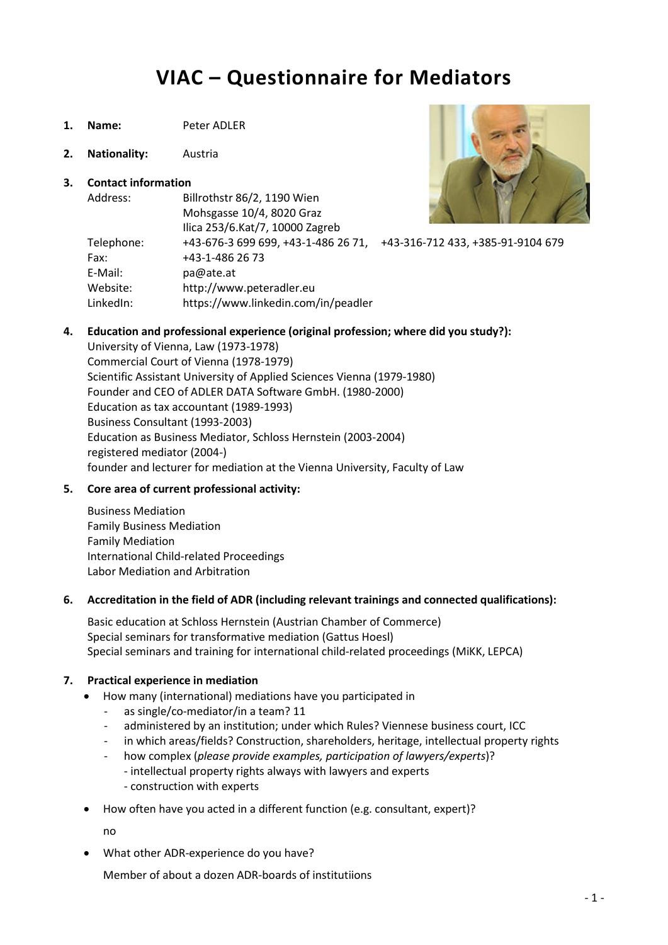# VIAC – Questionnaire for Mediators

- 1. Name: Peter ADLER
- 2. Nationality: Austria

#### 3. Contact information



| Address:   | Billrothstr 86/2, 1190 Wien         |                                   |
|------------|-------------------------------------|-----------------------------------|
|            | Mohsgasse 10/4, 8020 Graz           |                                   |
|            | Ilica 253/6.Kat/7, 10000 Zagreb     |                                   |
| Telephone: | +43-676-3 699 699, +43-1-486 26 71, | +43-316-712 433, +385-91-9104 679 |
| Fax:       | +43-1-486 26 73                     |                                   |
| E-Mail:    | pa@ate.at                           |                                   |
| Website:   | http://www.peteradler.eu            |                                   |
| LinkedIn:  | https://www.linkedin.com/in/peadler |                                   |

#### 4. Education and professional experience (original profession; where did you study?):

University of Vienna, Law (1973-1978) Commercial Court of Vienna (1978-1979) Scientific Assistant University of Applied Sciences Vienna (1979-1980) Founder and CEO of ADLER DATA Software GmbH. (1980-2000) Education as tax accountant (1989-1993) Business Consultant (1993-2003) Education as Business Mediator, Schloss Hernstein (2003-2004) registered mediator (2004-) founder and lecturer for mediation at the Vienna University, Faculty of Law

#### 5. Core area of current professional activity:

Business Mediation Family Business Mediation Family Mediation International Child-related Proceedings Labor Mediation and Arbitration

#### 6. Accreditation in the field of ADR (including relevant trainings and connected qualifications):

Basic education at Schloss Hernstein (Austrian Chamber of Commerce) Special seminars for transformative mediation (Gattus Hoesl) Special seminars and training for international child-related proceedings (MiKK, LEPCA)

#### 7. Practical experience in mediation

- How many (international) mediations have you participated in
	- as single/co-mediator/in a team? 11
	- administered by an institution; under which Rules? Viennese business court, ICC
	- in which areas/fields? Construction, shareholders, heritage, intellectual property rights
	- how complex (please provide examples, participation of lawyers/experts)? - intellectual property rights always with lawyers and experts
		- construction with experts
- How often have you acted in a different function (e.g. consultant, expert)?

no

What other ADR-experience do you have?

Member of about a dozen ADR-boards of institutiions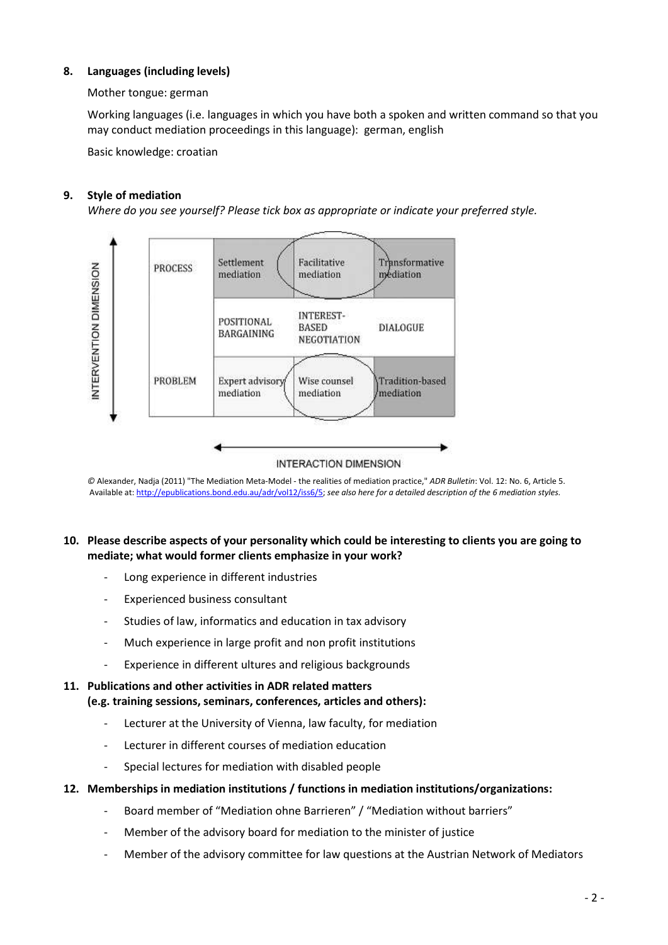#### 8. Languages (including levels)

#### Mother tongue: german

Working languages (i.e. languages in which you have both a spoken and written command so that you may conduct mediation proceedings in this language): german, english

Basic knowledge: croatian

#### 9. Style of mediation

Where do you see yourself? Please tick box as appropriate or indicate your preferred style.



© Alexander, Nadja (2011) "The Mediation Meta-Model - the realities of mediation practice," ADR Bulletin: Vol. 12: No. 6, Article 5. Available at: http://epublications.bond.edu.au/adr/vol12/iss6/5; see also here for a detailed description of the 6 mediation styles.

#### 10. Please describe aspects of your personality which could be interesting to clients you are going to mediate; what would former clients emphasize in your work?

- Long experience in different industries
- Experienced business consultant
- Studies of law, informatics and education in tax advisory
- Much experience in large profit and non profit institutions
- Experience in different ultures and religious backgrounds

#### 11. Publications and other activities in ADR related matters (e.g. training sessions, seminars, conferences, articles and others):

- Lecturer at the University of Vienna, law faculty, for mediation
- Lecturer in different courses of mediation education
- Special lectures for mediation with disabled people
- 12. Memberships in mediation institutions / functions in mediation institutions/organizations:
	- Board member of "Mediation ohne Barrieren" / "Mediation without barriers"
	- Member of the advisory board for mediation to the minister of justice
	- Member of the advisory committee for law questions at the Austrian Network of Mediators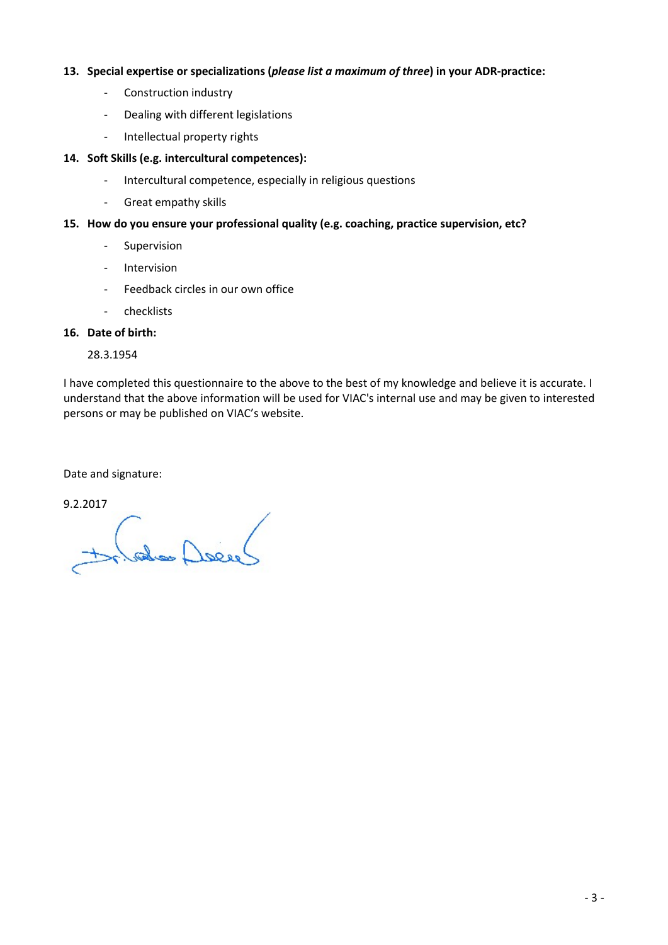#### 13. Special expertise or specializations (please list a maximum of three) in your ADR-practice:

- Construction industry
- Dealing with different legislations
- Intellectual property rights

#### 14. Soft Skills (e.g. intercultural competences):

- Intercultural competence, especially in religious questions
- Great empathy skills

#### 15. How do you ensure your professional quality (e.g. coaching, practice supervision, etc?

- Supervision
- Intervision
- Feedback circles in our own office
- checklists

#### 16. Date of birth:

28.3.1954

I have completed this questionnaire to the above to the best of my knowledge and believe it is accurate. I understand that the above information will be used for VIAC's internal use and may be given to interested persons or may be published on VIAC's website.

Date and signature:

9.2.2017

(also Delle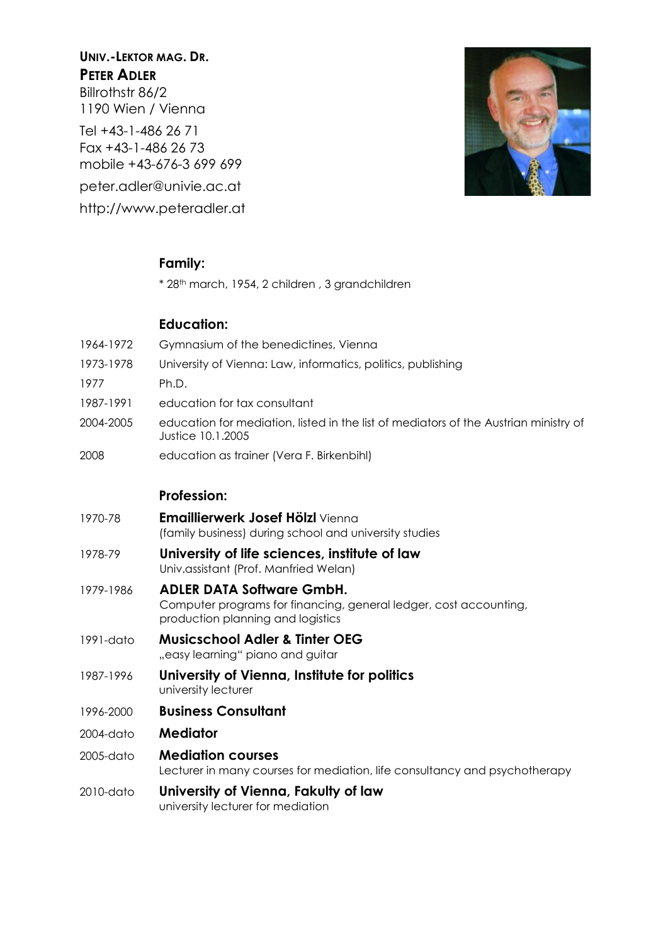# UNIV.-LEKTOR MAG. DR. PFTFR ADIFR

Billrothstr 86/2 1190 Wien / Vienna

Tel +43-1-486 26 71 Fax +43-1-486 26 73 mobile +43-676-3 699 699 peter.adler@univie.ac.at http://www.peteradler.at



# Family:

\* 28th march, 1954, 2 children , 3 grandchildren

# Education:

- 1964-1972 Gymnasium of the benedictines, Vienna
- 1973-1978 University of Vienna: Law, informatics, politics, publishing
- 1977 Ph.D.
- 1987-1991 education for tax consultant
- 2004-2005 education for mediation, listed in the list of mediators of the Austrian ministry of Justice 10.1.2005
- 2008 education as trainer (Vera F. Birkenbihl)

### Profession:

- 1970-78 **Emaillierwerk Josef Hölzl** Vienna (family business) during school and university studies
- 1978-79 University of life sciences, institute of law Univ.assistant (Prof. Manfried Welan)
- 1979-1986 ADLER DATA Software GmbH. Computer programs for financing, general ledger, cost accounting, production planning and logistics
- 1991-dato Musicschool Adler & Tinter OEG "easy learning" piano and guitar
- 1987-1996 University of Vienna, Institute for politics university lecturer
- 1996-2000 Business Consultant
- 2004-dato **Mediator**
- 2005-dato Mediation courses Lecturer in many courses for mediation, life consultancy and psychotherapy
- 2010-dato University of Vienna, Fakulty of law university lecturer for mediation